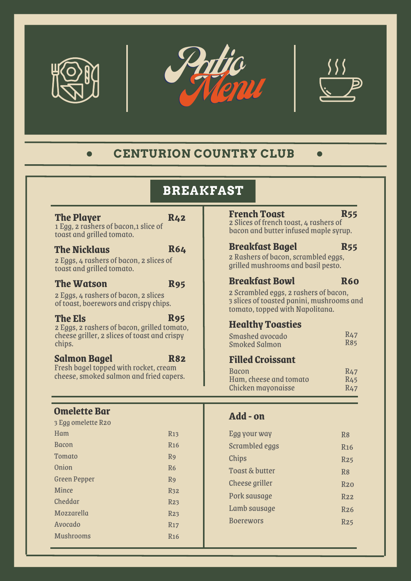





### **CENTURION COUNTRY CLUB**  $\bullet$

# **BREAKFAST**

### **The Player**

### **R42**

1 Egg, 2 rashers of bacon,1slice of toast and grilled tomato.

### **The Nicklaus**

### **R64**

2 Eggs, 4 rashers of bacon, 2 slices of toast and grilled tomato.

### **The Watson**

**R95**

2 Eggs, 4 rashers of bacon, 2 slices of toast, boerewors and crispy chips.

### **The Els**

### **R95**

2 Eggs, 2 rashers of bacon, grilled tomato, cheese griller, 2 slices of toast and crispy chips.

### **Salmon Bagel**

### **R82**

Fresh bagel topped with rocket, cream cheese, smoked salmon and fried capers.

## **Omelette Bar**

| 3 Egg omelette R20  |                       |
|---------------------|-----------------------|
| Ham                 | R <sub>13</sub>       |
| <b>Bacon</b>        | <b>R<sub>16</sub></b> |
| Tomato              | R <sub>9</sub>        |
| Onion               | R <sub>6</sub>        |
| <b>Green Pepper</b> | R <sub>9</sub>        |
| Mince               | R <sub>32</sub>       |
| Cheddar             | R <sub>23</sub>       |
| Mozzarella          | R <sub>23</sub>       |
| Avocado             | R17                   |
| <b>Mushrooms</b>    | <b>R<sub>16</sub></b> |
|                     |                       |

### **French Toast**

### **R55**

**R60**

2 Slices of french toast, 4 rashers of bacon and butter infused maple syrup.

#### **Breakfast Bagel R55**

2 Rashers of bacon, scrambled eggs, grilled mushrooms and basil pesto.

## **Breakfast Bowl**

2 Scrambled eggs, 2 rashers of bacon, 3 slices of toasted panini, mushrooms and tomato, topped with Napolitana.

## **Healthy Toasties**

| Smashed avocado      | R47        |
|----------------------|------------|
| <b>Smoked Salmon</b> | <b>R85</b> |

## **Filled Croissant**

| <b>Bacon</b>              | R <sub>47</sub> |
|---------------------------|-----------------|
| Ham, cheese and tomato    | R <sub>45</sub> |
| <b>Chicken mayonaisse</b> | R <sub>47</sub> |

### **Add - on**

| Egg your way          | R <sub>8</sub>        |
|-----------------------|-----------------------|
| Scrambled eggs        | <b>R<sub>16</sub></b> |
| <b>Chips</b>          | R25                   |
| Toast & butter        | R <sub>8</sub>        |
| <b>Cheese griller</b> | R20                   |
| Pork sausage          | R <sub>2.2</sub>      |
| Lamb sausage          | R <sub>26</sub>       |
| <b>Boerewors</b>      | R25                   |
|                       |                       |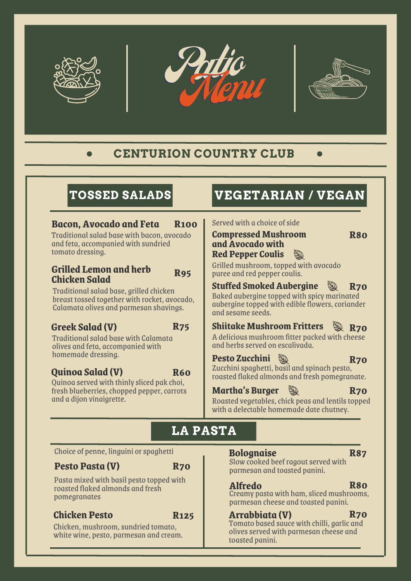



### **CENTURION COUNTRY CLUB**  $\bullet$

# **TOSSED SALADS**

# **Bacon, Avocado and Feta R100**

Traditionalsalad base with bacon, avocado and feta, accompanied with sundried tomato dressing.

### **Grilled Lemon and herb Chicken Salad R95**

Traditional salad base, grilled chicken breast tossed together with rocket, avocado, Calamata olives and parmesan shavings.

## **Greek Salad (V) R75**

Traditionalsalad base with Calamata olives and feta, accompanied with homemade dressing.

## **Quinoa Salad (V)**

**R60**

Quinoa served with thinly sliced pak choi, fresh blueberries, chopped pepper, carrots and a dijon vinaigrette.

# **VEGETARIAN / VEGAN**

Served with a choice of side

| <b>Compressed Mushroom</b> |   |
|----------------------------|---|
| and Avocado with           |   |
| <b>Red Pepper Coulis</b>   | Y |

**R80**

Grilledmushroom, topped with avocado puree and red pepper coulis.

**Stuffed Smoked Aubergine R70** Baked aubergine topped with spicymarinated aubergine topped with edible flowers, coriander and sesame seeds.

#### **Shiitake Mushroom Fritters R70**

A delicious mushroom fitter packed with cheese and herbs served on escalivada.

### **Pesto Zucchini**

Zucchini spaghetti, basil and spinach pesto, roasted flaked almonds and fresh pomegranate. **R70**

## **Martha's Burger**

**R70**

Roasted vegetables, chick peas and lentils topped with a delectable homemade date chutney.

# **LA PASTA**

Choice of penne, linguini or spaghetti

## **Pesto Pasta (V)**

**R70**

Pastamixed with basil pesto topped with roasted flaked almonds and fresh pomegranates

## **Chicken Pesto**

**R125**

Chicken, mushroom, sundried tomato, white wine, pesto, parmesan and cream.

### **Bolognaise R87**

Slow cooked beef ragout served with parmesan and toasted panini.

### **Alfredo**

Creamy pasta with ham, sliced mushrooms, parmesan cheese and toasted panini. **R80**

### **Arrabbiata (V) R70**

Tomato based sauce with chilli, garlic and olives served with parmesan cheese and toasted panini.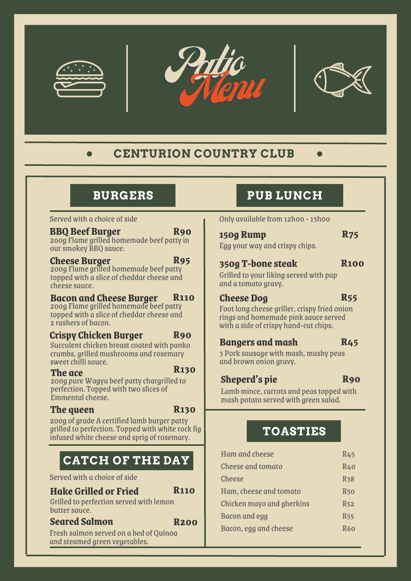





# **CENTURION COUNTRY CLUB**

# **BURGERS**

### Served with a choice of side

#### **BBQ Beef Burger R90**

### 200g Flame grilled homemade beef patty in oursmokey BBQ sauce.

### **Cheese Burger R95**

200g Flame grilled homemade beef patty topped with a slice of cheddar cheese and cheese sauce.

### **Bacon and Cheese Burger R110**

200g Flame grilled homemade beef patty topped with a slice of cheddar cheese and 2 rashers of bacon.

#### **Crispy Chicken Burger R90**

Succulent chicken breast coated with panko crumbs, grilled mushrooms and rosemary sweet chilli sauce.

### **The ace**

**R130**

200g pure Wagyu beef patty chargrilled to perfection. Topped with two slices of Emmental cheese.

### **The queen**

**R130**

200g of grade A certified lamb burger patty grilled to perfection. Topped with white rock fig infused white cheese and sprig of rosemary.

# **CATCH OF THE DAY**

Served with a choice of side

### **Hake Grilled or Fried**

Grilled to perfection served with lemon butter sauce.

### **Seared Salmon**

**R200**

**R110**

Fresh salmon served on a bed of Quinoa and steamed green vegetables.

# **PUB LUNCH**

Only available from 12h00 - 15h00

| 150g Rump |  | <b>R75</b> |
|-----------|--|------------|
|           |  |            |

Egg your way and crispy chips.

## **350g T-bone steak R100**

Grilled to your liking served with pap and a tomato gravy.

## **Cheese Dog R55**

Foot long cheese griller, crispy fried onion rings and homemade pink sauce served with a side of crispy hand-cut chips.

# **Bangers and mash**

3 Pork sausage with mash, mushy peas and brown onion gravy.

# **Sheperd's pie**

### **R90**

**R45**

Lamb mince, carrots and peas topped with mash potato served with green salad.

# **TOASTIES**

| <b>Ham and cheese</b>     | <b>R45</b> |
|---------------------------|------------|
| <b>Cheese and tomato</b>  | R40        |
| <b>Cheese</b>             | <b>R38</b> |
| Ham, cheese and tomato    | <b>R50</b> |
| Chicken mayo and gherkins | <b>R52</b> |
| Bacon and egg             | <b>R55</b> |
| Bacon, egg and cheese     | <b>R60</b> |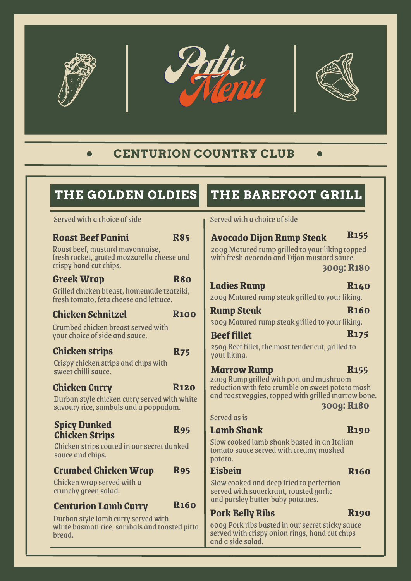





### **CENTURION COUNTRY CLUB**  $\bullet$

# **THE GOLDEN OLDIES**

### Served with a choice of side

#### **Roast Beef Panini R85**

Roast beef, mustard mayonnaise, fresh rocket, grated mozzarella cheese and crispy hand cut chips.

### **Greek Wrap R80**

Grilled chicken breast, homemade tzatziki, fresh tomato, feta cheese and lettuce.

## **Chicken Schnitzel R100**

Crumbed chicken breast served with your choice of side and sauce.

### **Chicken strips R75**

Crispy chicken strips and chips with sweet chilli sauce.

## **Chicken Curry**

**R120**

Durban style chicken curry served with white savoury rice, sambals and a poppadum.

### **Spicy Dunked Chicken Strips R95**

Chicken strips coated in our secret dunked sauce and chips.

## **Crumbed Chicken Wrap R95**

Chicken wrap served with a crunchy green salad.

#### **R160 Centurion Lamb Curry**

Durban style lamb curry served with white basmati rice, sambals and toasted pitta bread.

# **THE BAREFOOT GRILL**

Served with a choice of side

# **Avocado Dijon Rump Steak R155**

200g Matured rump grilled to your liking topped with fresh avocado and Dijon mustard sauce.

```
300g: R180
```
## **Ladies Rump R140**

200g Matured rump steak grilled to your liking.

## **Rump** Steak **R160**

300g Matured rump steak grilled to your liking.

#### **Beef fillet R175**

250g Beef fillet, the most tender cut, grilled to your liking.

## **Marrow Rump R155**

200g Rump grilled with port and mushroom reduction with feta crumble on sweet potato mash and roast veggies, topped with grilled marrow bone.

**300g: R180**

Served as is

## **Lamb Shank**

**R190**

Slow cooked lamb shank basted in an Italian tomato sauce served with creamy mashed potato.

### **Eisbein**

**R160**

**R190**

Slow cooked and deep fried to perfection served with sauerkraut, roasted garlic and parsley butter baby potatoes.

## **Pork Belly Ribs**

600g Pork ribs basted in our secret sticky sauce served with crispy onion rings, hand cut chips and a side salad.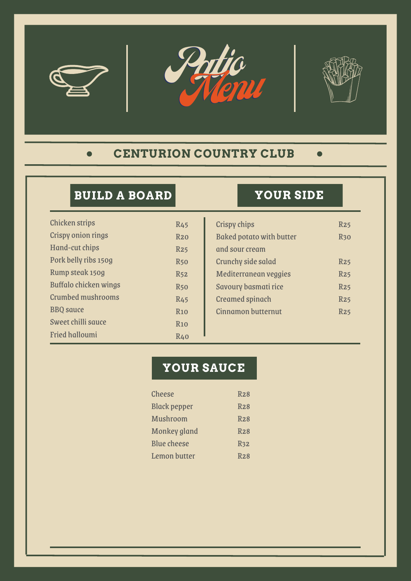





### **CENTURION COUNTRY CLUB**  $\bullet$

# **BUILD A BOARD**

| <b>Chicken strips</b>     | R <sub>45</sub> |
|---------------------------|-----------------|
| <b>Crispy onion rings</b> | R20             |
| Hand-cut chips            | R25             |
| Pork belly ribs 150g      | <b>R50</b>      |
| Rump steak 150g           | <b>R52</b>      |
| Buffalo chicken wings     | <b>R50</b>      |
| <b>Crumbed mushrooms</b>  | <b>R45</b>      |
| <b>BBQ</b> sauce          | <b>R10</b>      |
| Sweet chilli sauce        | R10             |
| <b>Fried halloumi</b>     | R40             |
|                           |                 |

# **YOUR SIDE**

| <b>Crispy chips</b>             | R25         |
|---------------------------------|-------------|
| <b>Baked potato with butter</b> | <b>R</b> 30 |
| and sour cream                  |             |
| Crunchy side salad              | <b>R25</b>  |
| Mediterranean veggies           | R25         |
| Savoury basmati rice            | R25         |
| <b>Creamed spinach</b>          | R25         |
| <b>Cinnamon butternut</b>       | R25         |
|                                 |             |

# **YOUR SAUCE**

| <b>Cheese</b>       | R <sub>28</sub> |
|---------------------|-----------------|
| <b>Black pepper</b> | R28             |
| <b>Mushroom</b>     | R <sub>28</sub> |
| <b>Monkey gland</b> | R <sub>28</sub> |
| Blue cheese         | R <sub>32</sub> |
| <b>Lemon butter</b> | R <sub>28</sub> |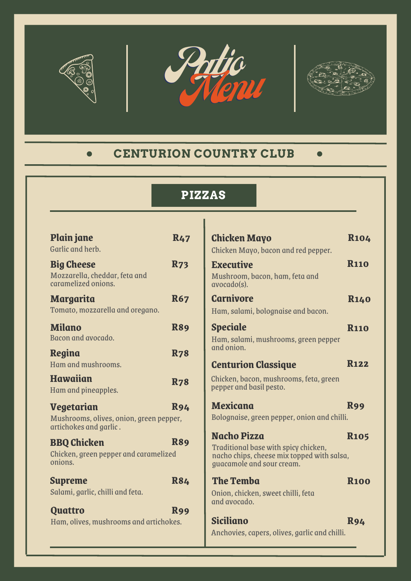





**Mexicana R99**

**R100**

**R94**

**Chicken Mayo R104**

**Executive R110**

**Carnivore R140**

**R110**

**Centurion Classique R122**

**R105** 

### **CENTURION COUNTRY CLUB**  $\bullet$  . The set of  $\bullet$

# **PIZZAS**

T

| <b>Plain jane</b><br>Garlic and herb.                                     | <b>R47</b> | <b>Chicken Mayo</b>                                                     | $\mathbf{R}$   |
|---------------------------------------------------------------------------|------------|-------------------------------------------------------------------------|----------------|
|                                                                           |            | Chicken Mayo, bacon and red pepper.                                     |                |
| <b>Big Cheese</b><br>Mozzarella, cheddar, feta and<br>caramelized onions. | <b>R73</b> | <b>Executive</b><br>Mushroom, bacon, ham, feta and<br>avocado(s).       | $\mathbf{R}$   |
| <b>Margarita</b>                                                          | <b>R67</b> | <b>Carnivore</b>                                                        | $\mathbf{R}$   |
| Tomato, mozzarella and oregano.                                           |            | Ham, salami, bolognaise and bacon.                                      |                |
| <b>Milano</b>                                                             | <b>R89</b> | <b>Speciale</b>                                                         | $\mathbf{R}$   |
| Bacon and avocado.                                                        |            | Ham, salami, mushrooms, green pepper                                    |                |
| <b>Regina</b>                                                             | <b>R78</b> | and onion.                                                              |                |
| Ham and mushrooms.                                                        |            | <b>Centurion Classique</b>                                              | $\mathbf{R}$   |
| <b>Hawaiian</b>                                                           | <b>R78</b> | Chicken, bacon, mushrooms, feta, green                                  |                |
| Ham and pineapples.                                                       |            | pepper and basil pesto.                                                 |                |
| <b>Vegetarian</b>                                                         | <b>R94</b> | <b>Mexicana</b>                                                         | R <sup>c</sup> |
| Mushrooms, olives, onion, green pepper,<br>artichokes and garlic.         |            | Bolognaise, green pepper, onion and chilli.                             |                |
|                                                                           |            | <b>Nacho Pizza</b>                                                      | $\mathbf{R}$   |
| <b>BBQ Chicken</b>                                                        | <b>R89</b> | Traditional base with spicy chicken,                                    |                |
| Chicken, green pepper and caramelized<br>onions.                          |            | nacho chips, cheese mix topped with salsa,<br>guacamole and sour cream. |                |
| <b>Supreme</b>                                                            | <b>R84</b> | <b>The Temba</b>                                                        | R:             |
| Salami, garlic, chilli and feta.                                          |            | Onion, chicken, sweet chilli, feta<br>and avocado.                      |                |
| <b>Quattro</b>                                                            | <b>R99</b> |                                                                         |                |
| Ham, olives, mushrooms and artichokes.                                    |            | <b>Siciliano</b>                                                        | R              |
|                                                                           |            | Anchovies, capers, olives, garlic and chilli.                           |                |
|                                                                           |            |                                                                         |                |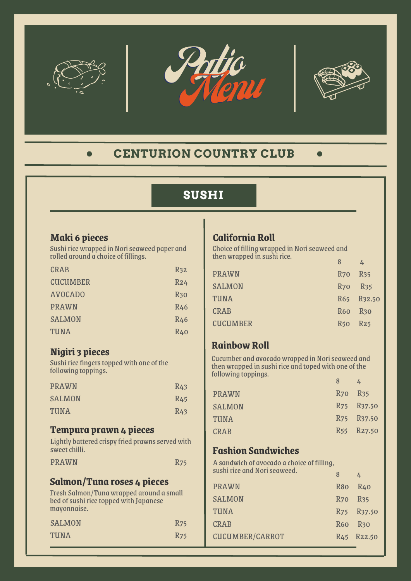





### **CENTURION COUNTRY CLUB**  $\bullet$

# **SUSHI**

## **Maki 6 pieces**

Sushi rice wrapped in Nori seaweed paper and rolled around a choice of fillings.

| <b>CRAB</b>     | R <sub>32</sub> |
|-----------------|-----------------|
| <b>CUCUMBER</b> | R24             |
| <b>AVOCADO</b>  | <b>R</b> 30     |
| <b>PRAWN</b>    | <b>R46</b>      |
| <b>SALMON</b>   | R46             |
| <b>TUNA</b>     | R40             |

## **Nigiri 3 pieces**

Sushi rice fingers topped with one of the following toppings.

| <b>PRAWN</b>  | R <sub>43</sub> |
|---------------|-----------------|
| <b>SALMON</b> | R <sub>45</sub> |
| TUNA          | R <sub>43</sub> |

## **Tempura prawn 4 pieces**

Lightly battered crispy fried prawns served with sweet chilli.

| <b>PRAWN</b> | <b>R75</b> |
|--------------|------------|
|--------------|------------|

### **Salmon/Tuna roses 4 pieces**

Fresh Salmon/Tuna wrapped around a small bed of sushi rice topped with Japanese mayonnaise.

| <b>SALMON</b> | <b>R75</b> |
|---------------|------------|
| <b>TUNA</b>   | <b>R75</b> |

## **California Roll**

Choice of filling wrapped in Noriseaweed and then wrapped in sushi rice.  $\overline{8}$ 

| <b>PRAWN</b>    | R <sub>70</sub> R <sub>35</sub> |            |
|-----------------|---------------------------------|------------|
| <b>SALMON</b>   | R <sub>70</sub> R <sub>35</sub> |            |
| TUNA            |                                 | R65 R32.50 |
| <b>CRAB</b>     | R60 R30                         |            |
| <b>CUCUMBER</b> | R <sub>50</sub> R <sub>25</sub> |            |
|                 |                                 |            |

## **RainbowRoll**

Cucumber and avocado wrapped in Noriseaweed and then wrapped in sushi rice and toped with one of the following toppings.  $\overline{8}$   $\overline{1}$ 

| <b>PRAWN</b>  | R <sub>70</sub> R <sub>35</sub> |                                     |
|---------------|---------------------------------|-------------------------------------|
| <b>SALMON</b> |                                 | R <sub>75</sub> R <sub>37</sub> .50 |
| TUNA          |                                 | R75 R37.50                          |
| <b>CRAB</b>   |                                 | R <sub>55</sub> R <sub>27</sub> .50 |
|               |                                 |                                     |

## **Fashion Sandwiches**

A sandwich of avocado a choice of filling, sushi rice and Noriseaweed.

| SUSIII LICE QIIQ NOII SEUWEEU. | 8                               | 4                                   |
|--------------------------------|---------------------------------|-------------------------------------|
| <b>PRAWN</b>                   | R <sub>80</sub>                 | R40                                 |
| <b>SALMON</b>                  | R <sub>70</sub> R <sub>35</sub> |                                     |
| <b>TUNA</b>                    |                                 | R75 R37.50                          |
| <b>CRAB</b>                    | R <sub>60</sub> R <sub>30</sub> |                                     |
| <b>CUCUMBER/CARROT</b>         |                                 | R <sub>45</sub> R <sub>22</sub> .50 |
|                                |                                 |                                     |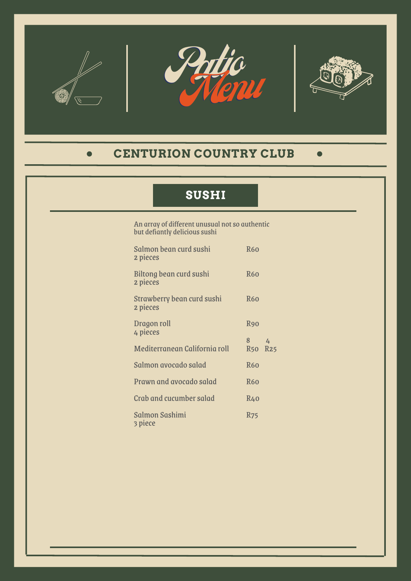





### **CENTURION COUNTRY CLUB**  $\bullet$

# **SUSHI**

An array of different unusual not so authentic but defiantly delicious sushi

| Salmon bean curd sushi<br>2 pieces     | <b>R60</b>          |   |
|----------------------------------------|---------------------|---|
| Biltong bean curd sushi<br>2 pieces    | <b>R60</b>          |   |
| Strawberry bean curd sushi<br>2 pieces | <b>R60</b>          |   |
| Dragon roll<br>4 pieces                | <b>R90</b>          |   |
| Mediterranean California roll          | 8<br><b>R50 R25</b> | 4 |
| Salmon avocado salad                   | <b>R60</b>          |   |
| Prawn and avocado salad                | <b>R60</b>          |   |
| Crab and cucumber salad                | R40                 |   |
| <b>Salmon Sashimi</b><br>3 piece       | R <sub>75</sub>     |   |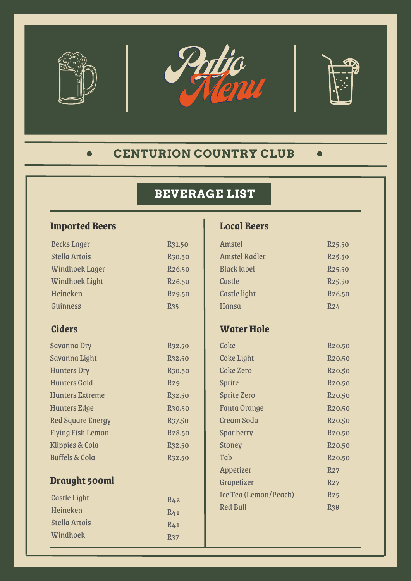





### **CENTURION COUNTRY CLUB**  $\bullet$

# **BEVERAGE LIST**

# **Imported Beers**

| <b>Becks Lager</b>         | R31.50              |
|----------------------------|---------------------|
| <b>Stella Artois</b>       | R <sub>30.50</sub>  |
| <b>Windhoek Lager</b>      | R <sub>26.50</sub>  |
| <b>Windhoek Light</b>      | R <sub>26.50</sub>  |
| Heineken                   | R <sub>29.50</sub>  |
| Guinness                   | R <sub>35</sub>     |
| <b>Ciders</b>              |                     |
|                            |                     |
| Savanna Dry                | R <sub>3</sub> 2.50 |
| Savanna Light              | R <sub>3</sub> 2.50 |
| <b>Hunters Dry</b>         | R <sub>30.50</sub>  |
| <b>Hunters Gold</b>        | R29                 |
| <b>Hunters Extreme</b>     | R <sub>3</sub> 2.50 |
| <b>Hunters Edge</b>        | R <sub>30.50</sub>  |
| <b>Red Square Energy</b>   | R <sub>37.50</sub>  |
| <b>Flying Fish Lemon</b>   | R <sub>28.50</sub>  |
| <b>Klippies &amp; Cola</b> | R <sub>3</sub> 2.50 |
| <b>Buffels &amp; Cola</b>  | R <sub>3</sub> 2.50 |
| Draught 500ml              |                     |
| <b>Castle Light</b>        | R <sub>42</sub>     |
| Heineken                   | R <sub>41</sub>     |
| <b>Stella Artois</b>       | R <sub>41</sub>     |
| Windhoek                   | R <sub>37</sub>     |

## **Local Beers**

| Amstel               | R <sub>25.50</sub> |
|----------------------|--------------------|
| <b>Amstel Radler</b> | R <sub>25.50</sub> |
| <b>Black label</b>   | R <sub>25.50</sub> |
| Castle               | R <sub>25.50</sub> |
| <b>Castle light</b>  | R <sub>26.50</sub> |
| Hansa                | R24                |
|                      |                    |

## **Water Hole**

| Coke                  | <b>R20.50</b>    |
|-----------------------|------------------|
| <b>Coke Light</b>     | <b>R20.50</b>    |
| Coke Zero             | <b>R20.50</b>    |
| <b>Sprite</b>         | <b>R20.50</b>    |
| <b>Sprite Zero</b>    | <b>R20.50</b>    |
| Fanta Orange          | <b>R20.50</b>    |
| Cream Soda            | <b>R20.50</b>    |
| Spar berry            | <b>R20.50</b>    |
| Stoney                | <b>R20.50</b>    |
| Tah                   | <b>R20.50</b>    |
| Appetizer             | R27              |
| Grapetizer            | R27              |
| Ice Tea (Lemon/Peach) | R <sub>25</sub>  |
| <b>Red Bull</b>       | R <sub>3</sub> 8 |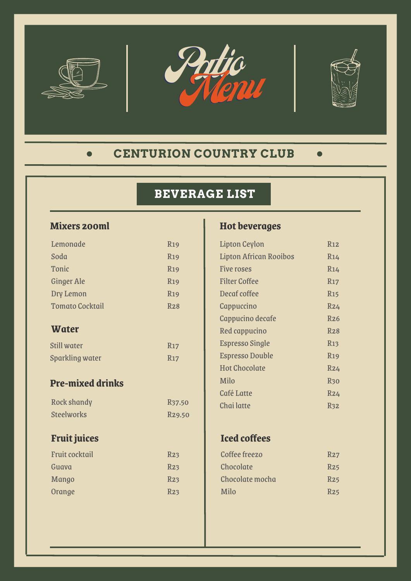





### **CENTURION COUNTRY CLUB**  $\bullet$

# **BEVERAGE LIST**

# **Mixers 200ml**

| Lemonade                | <b>R19</b>          |
|-------------------------|---------------------|
| Soda                    | <b>R19</b>          |
| Tonic                   | <b>R19</b>          |
| <b>Ginger Ale</b>       | <b>R19</b>          |
| Dry Lemon               | <b>R19</b>          |
| <b>Tomato Cocktail</b>  | <b>R28</b>          |
| <b>Water</b>            |                     |
| <b>Still water</b>      | <b>R17</b>          |
| <b>Sparkling water</b>  | <b>R17</b>          |
| <b>Pre-mixed drinks</b> |                     |
| <b>Rock shandy</b>      | R <sub>37</sub> .50 |
| <b>Steelworks</b>       | R <sub>29.50</sub>  |
| <b>Fruit juices</b>     |                     |
| <b>Fruit cocktail</b>   | R23                 |
| Guava                   | R <sub>23</sub>     |
| Mango                   | R <sub>23</sub>     |
| Orange                  | R23                 |

# **Hot beverages**

| <b>Lipton Ceylon</b>          | R12                   |
|-------------------------------|-----------------------|
| <b>Lipton African Rooibos</b> | R14                   |
| <b>Five roses</b>             | R14                   |
| <b>Filter Coffee</b>          | R17                   |
| Decaf coffee                  | <b>R<sub>15</sub></b> |
| Cappuccino                    | R24                   |
| Cappucino decafe              | R26                   |
| Red cappucino                 | R28                   |
| <b>Espresso Single</b>        | R <sub>13</sub>       |
| <b>Espresso Double</b>        | <b>R19</b>            |
| <b>Hot Chocolate</b>          | R24                   |
| Milo                          | <b>R30</b>            |
| <b>Café Latte</b>             | R24                   |
| Chai latte                    | R <sub>32</sub>       |

# **Iced coffees**

| Coffee freezo   | R27             |
|-----------------|-----------------|
| Chocolate       | R <sub>25</sub> |
| Chocolate mocha | R <sub>25</sub> |
| Milo            | R <sub>25</sub> |